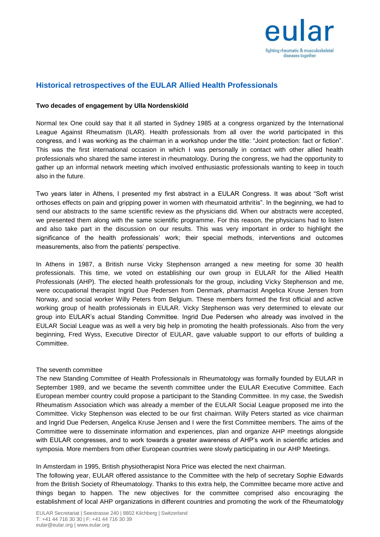

# **Historical retrospectives of the EULAR Allied Health Professionals**

### **Two decades of engagement by Ulla Nordenskiöld**

Normal tex One could say that it all started in Sydney 1985 at a congress organized by the International League Against Rheumatism (ILAR). Health professionals from all over the world participated in this congress, and I was working as the chairman in a workshop under the title: "Joint protection: fact or fiction". This was the first international occasion in which I was personally in contact with other allied health professionals who shared the same interest in rheumatology. During the congress, we had the opportunity to gather up an informal network meeting which involved enthusiastic professionals wanting to keep in touch also in the future.

Two years later in Athens, I presented my first abstract in a EULAR Congress. It was about "Soft wrist orthoses effects on pain and gripping power in women with rheumatoid arthritis". In the beginning, we had to send our abstracts to the same scientific review as the physicians did. When our abstracts were accepted, we presented them along with the same scientific programme. For this reason, the physicians had to listen and also take part in the discussion on our results. This was very important in order to highlight the significance of the health professionals' work; their special methods, interventions and outcomes measurements, also from the patients' perspective.

In Athens in 1987, a British nurse Vicky Stephenson arranged a new meeting for some 30 health professionals. This time, we voted on establishing our own group in EULAR for the Allied Health Professionals (AHP). The elected health professionals for the group, including Vicky Stephenson and me, were occupational therapist Ingrid Due Pedersen from Denmark, pharmacist Angelica Kruse Jensen from Norway, and social worker Willy Peters from Belgium. These members formed the first official and active working group of health professionals in EULAR. Vicky Stephenson was very determined to elevate our group into EULAR's actual Standing Committee. Ingrid Due Pedersen who already was involved in the EULAR Social League was as well a very big help in promoting the health professionals. Also from the very beginning, Fred Wyss, Executive Director of EULAR, gave valuable support to our efforts of building a Committee.

#### The seventh committee

The new Standing Committee of Health Professionals in Rheumatology was formally founded by EULAR in September 1989, and we became the seventh committee under the EULAR Executive Committee. Each European member country could propose a participant to the Standing Committee. In my case, the Swedish Rheumatism Association which was already a member of the EULAR Social League proposed me into the Committee. Vicky Stephenson was elected to be our first chairman. Willy Peters started as vice chairman and Ingrid Due Pedersen, Angelica Kruse Jensen and I were the first Committee members. The aims of the Committee were to disseminate information and experiences, plan and organize AHP meetings alongside with EULAR congresses, and to work towards a greater awareness of AHP's work in scientific articles and symposia. More members from other European countries were slowly participating in our AHP Meetings.

#### In Amsterdam in 1995, British physiotherapist Nora Price was elected the next chairman.

establishment of local AHP organizations in different countries and promoting the work of the Rheumatology The following year, EULAR offered assistance to the Committee with the help of secretary Sophie Edwards from the British Society of Rheumatology. Thanks to this extra help, the Committee became more active and things began to happen. The new objectives for the committee comprised also encouraging the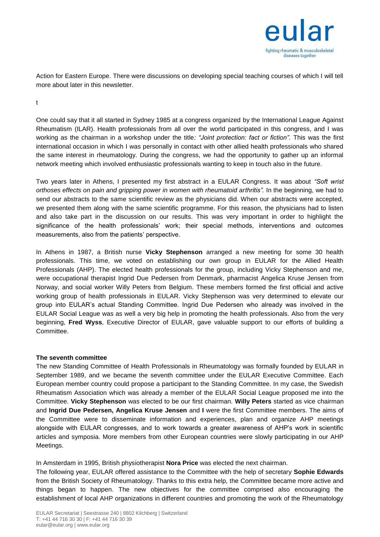

Action for Eastern Europe. There were discussions on developing special teaching courses of which I will tell more about later in this newsletter.

t

One could say that it all started in Sydney 1985 at a congress organized by the International League Against Rheumatism (ILAR). Health professionals from all over the world participated in this congress, and I was working as the chairman in a workshop under the title*: "Joint protection: fact or fiction".* This was the first international occasion in which I was personally in contact with other allied health professionals who shared the same interest in rheumatology. During the congress, we had the opportunity to gather up an informal network meeting which involved enthusiastic professionals wanting to keep in touch also in the future.

Two years later in Athens, I presented my first abstract in a EULAR Congress. It was about *"Soft wrist orthoses effects on pain and gripping power in women with rheumatoid arthritis".* In the beginning, we had to send our abstracts to the same scientific review as the physicians did. When our abstracts were accepted, we presented them along with the same scientific programme. For this reason, the physicians had to listen and also take part in the discussion on our results. This was very important in order to highlight the significance of the health professionals' work; their special methods, interventions and outcomes measurements, also from the patients' perspective.

In Athens in 1987, a British nurse **Vicky Stephenson** arranged a new meeting for some 30 health professionals. This time, we voted on establishing our own group in EULAR for the Allied Health Professionals (AHP). The elected health professionals for the group, including Vicky Stephenson and me, were occupational therapist Ingrid Due Pedersen from Denmark, pharmacist Angelica Kruse Jensen from Norway, and social worker Willy Peters from Belgium. These members formed the first official and active working group of health professionals in EULAR. Vicky Stephenson was very determined to elevate our group into EULAR's actual Standing Committee. Ingrid Due Pedersen who already was involved in the EULAR Social League was as well a very big help in promoting the health professionals. Also from the very beginning, **Fred Wyss**, Executive Director of EULAR, gave valuable support to our efforts of building a Committee.

## **The seventh committee**

The new Standing Committee of Health Professionals in Rheumatology was formally founded by EULAR in September 1989, and we became the seventh committee under the EULAR Executive Committee. Each European member country could propose a participant to the Standing Committee. In my case, the Swedish Rheumatism Association which was already a member of the EULAR Social League proposed me into the Committee. **Vicky Stephenson** was elected to be our first chairman. **Willy Peters** started as vice chairman and **Ingrid Due Pedersen, Angelica Kruse Jensen** and **I** were the first Committee members. The aims of the Committee were to disseminate information and experiences, plan and organize AHP meetings alongside with EULAR congresses, and to work towards a greater awareness of AHP's work in scientific articles and symposia. More members from other European countries were slowly participating in our AHP Meetings.

In Amsterdam in 1995, British physiotherapist **Nora Price** was elected the next chairman.

establishment of local AHP organizations in different countries and promoting the work of the Rheumatology The following year, EULAR offered assistance to the Committee with the help of secretary **Sophie Edwards**  from the British Society of Rheumatology. Thanks to this extra help, the Committee became more active and things began to happen. The new objectives for the committee comprised also encouraging the